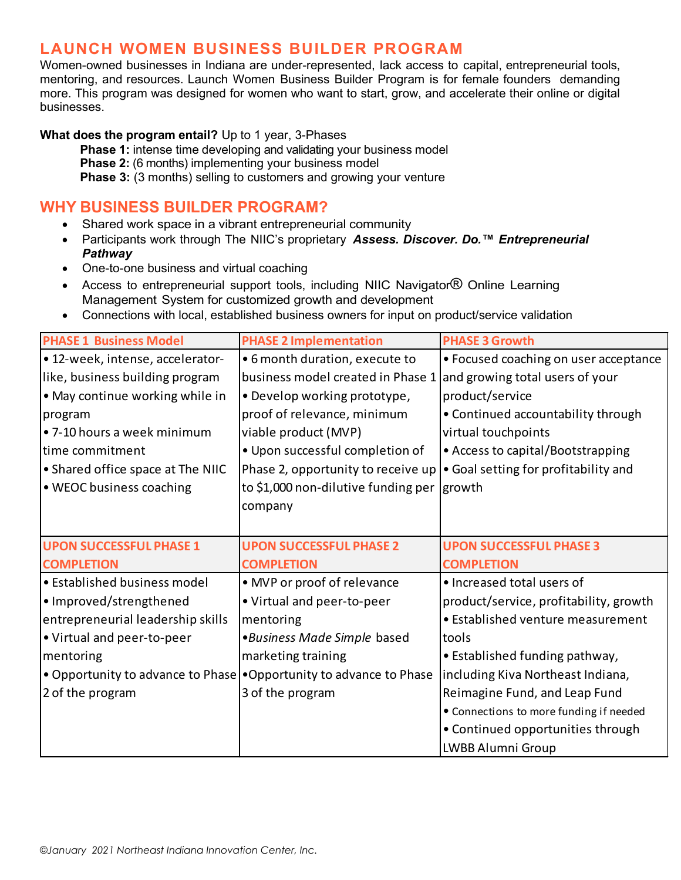# LAUNCH WOMEN BUSINESS BUILDER PROGRAM

Women-owned businesses in Indiana are under-represented, lack access to capital, entrepreneurial tools, mentoring, and resources. Launch Women Business Builder Program is for female founders demanding more. This program was designed for women who want to start, grow, and accelerate their online or digital businesses.

What does the program entail? Up to 1 year, 3-Phases

**Phase 1:** intense time developing and validating your business model Phase 2: (6 months) implementing your business model Phase 3: (3 months) selling to customers and growing your venture

### WHY BUSINESS BUILDER PROGRAM?

- Shared work space in a vibrant entrepreneurial community
- Participants work through The NIIC's proprietary Assess. Discover. Do.<sup>™</sup> Entrepreneurial Pathway
- One-to-one business and virtual coaching
- Access to entrepreneurial support tools, including NIIC Navigator<sup>®</sup> Online Learning Management System for customized growth and development
- Connections with local, established business owners for input on product/service validation

| <b>PHASE 1 Business Model</b>     | <b>PHASE 2 Implementation</b>                                       | <b>PHASE 3 Growth</b>                   |
|-----------------------------------|---------------------------------------------------------------------|-----------------------------------------|
| • 12-week, intense, accelerator-  | • 6 month duration, execute to                                      | • Focused coaching on user acceptance   |
| like, business building program   | business model created in Phase 1                                   | and growing total users of your         |
| • May continue working while in   | • Develop working prototype,                                        | product/service                         |
| program                           | proof of relevance, minimum                                         | • Continued accountability through      |
| • 7-10 hours a week minimum       | viable product (MVP)                                                | virtual touchpoints                     |
| time commitment                   | . Upon successful completion of                                     | • Access to capital/Bootstrapping       |
| • Shared office space at The NIIC | Phase 2, opportunity to receive up                                  | • Goal setting for profitability and    |
| • WEOC business coaching          | to \$1,000 non-dilutive funding per growth                          |                                         |
|                                   | company                                                             |                                         |
|                                   |                                                                     |                                         |
| <b>UPON SUCCESSFUL PHASE 1</b>    | <b>UPON SUCCESSFUL PHASE 2</b>                                      | <b>UPON SUCCESSFUL PHASE 3</b>          |
| <b>COMPLETION</b>                 | <b>COMPLETION</b>                                                   | <b>COMPLETION</b>                       |
| • Established business model      | • MVP or proof of relevance                                         | • Increased total users of              |
| • Improved/strengthened           | • Virtual and peer-to-peer                                          | product/service, profitability, growth  |
| entrepreneurial leadership skills | mentoring                                                           | • Established venture measurement       |
| • Virtual and peer-to-peer        | •Business Made Simple based                                         | tools                                   |
| mentoring                         | marketing training                                                  | • Established funding pathway,          |
|                                   | • Opportunity to advance to Phase • Opportunity to advance to Phase | including Kiva Northeast Indiana,       |
| 2 of the program                  | 3 of the program                                                    | Reimagine Fund, and Leap Fund           |
|                                   |                                                                     | • Connections to more funding if needed |
|                                   |                                                                     | • Continued opportunities through       |
|                                   |                                                                     |                                         |